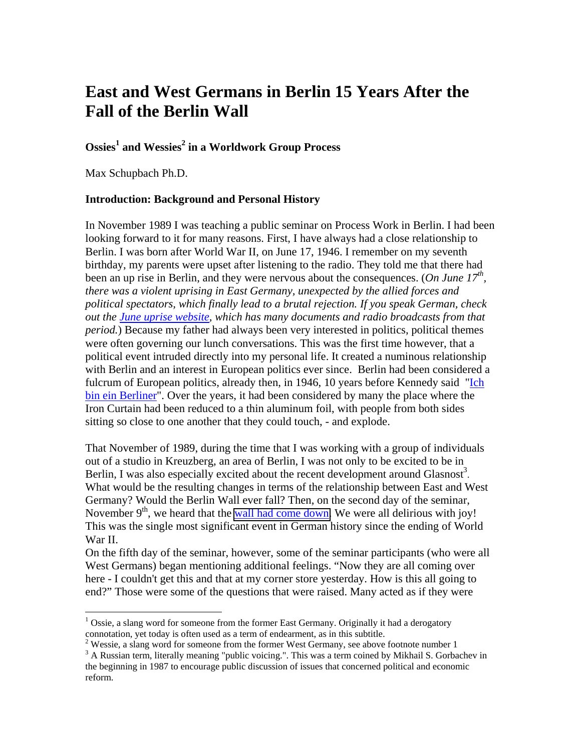# **East and West Germans in Berlin 15 Years After the Fall of the Berlin Wall**

# $\text{Ossies}^1$  and Wessies<sup>2</sup> in a Worldwork Group Process

Max Schupbach Ph.D.

 $\overline{a}$ 

#### **Introduction: Background and Personal History**

In November 1989 I was teaching a public seminar on Process Work in Berlin. I had been looking forward to it for many reasons. First, I have always had a close relationship to Berlin. I was born after World War II, on June 17, 1946. I remember on my seventh birthday, my parents were upset after listening to the radio. They told me that there had been an up rise in Berlin, and they were nervous about the consequences. (*On June 17<sup>th</sup>*, *there was a violent uprising in East Germany, unexpected by the allied forces and political spectators, which finally lead to a brutal rejection. If you speak German, check out the [June uprise website,](http://www.17juni53.de/home/index.html) which has many documents and radio broadcasts from that period.*) Because my father had always been very interested in politics, political themes were often governing our lunch conversations. This was the first time however, that a political event intruded directly into my personal life. It created a numinous relationship with Berlin and an interest in European politics ever since. Berlin had been considered a fulcrum of European politics, already then, in 1946, 10 years before Kennedy said "Ich [bin ein Berliner](http://www.americanrhetoric.com/speeches/jfkichbineinberliner.html)". Over the years, it had been considered by many the place where the Iron Curtain had been reduced to a thin aluminum foil, with people from both sides sitting so close to one another that they could touch, - and explode.

That November of 1989, during the time that I was working with a group of individuals out of a studio in Kreuzberg, an area of Berlin, I was not only to be excited to be in Berlin, I was also especially excited about the recent development around Glasnost<sup>3</sup>. What would be the resulting changes in terms of the relationship between East and West Germany? Would the Berlin Wall ever fall? Then, on the second day of the seminar, November  $9<sup>th</sup>$ , we heard that the [wall had come down.](http://www.cnn.com/SPECIALS/cold.war/episodes/23/reflections/) We were all delirious with joy! This was the single most significant event in German history since the ending of World War II.

On the fifth day of the seminar, however, some of the seminar participants (who were all West Germans) began mentioning additional feelings. "Now they are all coming over here - I couldn't get this and that at my corner store yesterday. How is this all going to end?" Those were some of the questions that were raised. Many acted as if they were

 $1$  Ossie, a slang word for someone from the former East Germany. Originally it had a derogatory connotation, yet today is often used as a term of endearment, as in this subtitle.

<sup>&</sup>lt;sup>2</sup> Wessie, a slang word for someone from the former West Germany, see above footnote number 1<br><sup>3</sup> A Bussian term literally meaning "public voicing." This was a term soined by Mikhail S. Gerba

<sup>&</sup>lt;sup>3</sup> A Russian term, literally meaning "public voicing.". This was a term coined by Mikhail S. Gorbachev in the beginning in 1987 to encourage public discussion of issues that concerned political and economic reform.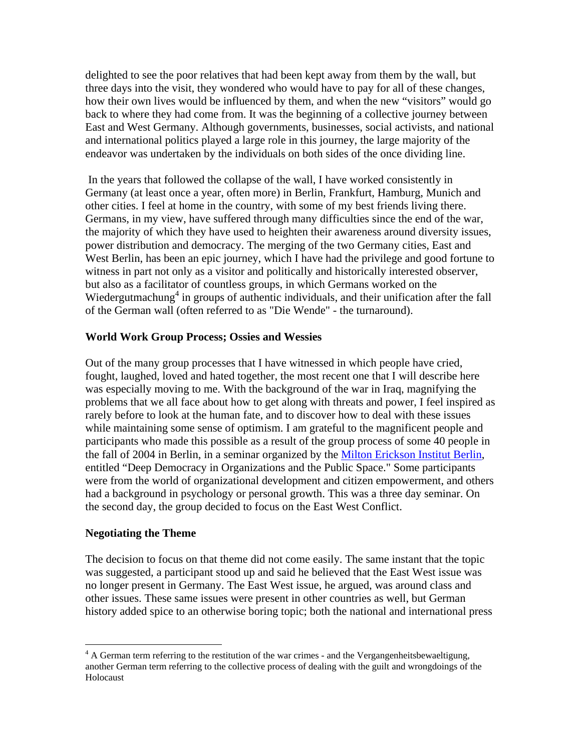delighted to see the poor relatives that had been kept away from them by the wall, but three days into the visit, they wondered who would have to pay for all of these changes, how their own lives would be influenced by them, and when the new "visitors" would go back to where they had come from. It was the beginning of a collective journey between East and West Germany. Although governments, businesses, social activists, and national and international politics played a large role in this journey, the large majority of the endeavor was undertaken by the individuals on both sides of the once dividing line.

 In the years that followed the collapse of the wall, I have worked consistently in Germany (at least once a year, often more) in Berlin, Frankfurt, Hamburg, Munich and other cities. I feel at home in the country, with some of my best friends living there. Germans, in my view, have suffered through many difficulties since the end of the war, the majority of which they have used to heighten their awareness around diversity issues, power distribution and democracy. The merging of the two Germany cities, East and West Berlin, has been an epic journey, which I have had the privilege and good fortune to witness in part not only as a visitor and politically and historically interested observer, but also as a facilitator of countless groups, in which Germans worked on the Wiedergutmachung<sup>4</sup> in groups of authentic individuals, and their unification after the fall of the German wall (often referred to as "Die Wende" - the turnaround).

#### **World Work Group Process; Ossies and Wessies**

Out of the many group processes that I have witnessed in which people have cried, fought, laughed, loved and hated together, the most recent one that I will describe here was especially moving to me. With the background of the war in Iraq, magnifying the problems that we all face about how to get along with threats and power, I feel inspired as rarely before to look at the human fate, and to discover how to deal with these issues while maintaining some sense of optimism. I am grateful to the magnificent people and participants who made this possible as a result of the group process of some 40 people in the fall of 2004 in Berlin, in a seminar organized by the [Milton Erickson Institut Berlin,](http://www.erickson-institut-berlin.de/frames/index/start.htm) entitled "Deep Democracy in Organizations and the Public Space." Some participants were from the world of organizational development and citizen empowerment, and others had a background in psychology or personal growth. This was a three day seminar. On the second day, the group decided to focus on the East West Conflict.

#### **Negotiating the Theme**

 $\overline{a}$ 

The decision to focus on that theme did not come easily. The same instant that the topic was suggested, a participant stood up and said he believed that the East West issue was no longer present in Germany. The East West issue, he argued, was around class and other issues. These same issues were present in other countries as well, but German history added spice to an otherwise boring topic; both the national and international press

 $4 \text{ A German term referring to the restriction of the war crimes - and the Vergangenheitsbewaeltigung, }$ another German term referring to the collective process of dealing with the guilt and wrongdoings of the Holocaust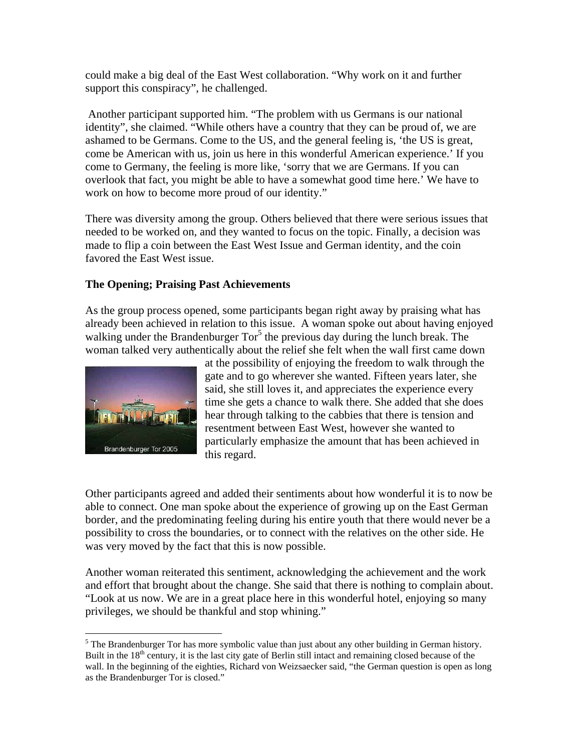could make a big deal of the East West collaboration. "Why work on it and further support this conspiracy", he challenged.

 Another participant supported him. "The problem with us Germans is our national identity", she claimed. "While others have a country that they can be proud of, we are ashamed to be Germans. Come to the US, and the general feeling is, 'the US is great, come be American with us, join us here in this wonderful American experience.' If you come to Germany, the feeling is more like, 'sorry that we are Germans. If you can overlook that fact, you might be able to have a somewhat good time here.' We have to work on how to become more proud of our identity."

There was diversity among the group. Others believed that there were serious issues that needed to be worked on, and they wanted to focus on the topic. Finally, a decision was made to flip a coin between the East West Issue and German identity, and the coin favored the East West issue.

### **The Opening; Praising Past Achievements**

As the group process opened, some participants began right away by praising what has already been achieved in relation to this issue. A woman spoke out about having enjoyed walking under the Brandenburger  $Tor<sup>5</sup>$  the previous day during the lunch break. The woman talked very authentically about the relief she felt when the wall first came down



 $\overline{a}$ 

at the possibility of enjoying the freedom to walk through the gate and to go wherever she wanted. Fifteen years later, she said, she still loves it, and appreciates the experience every time she gets a chance to walk there. She added that she does hear through talking to the cabbies that there is tension and resentment between East West, however she wanted to particularly emphasize the amount that has been achieved in this regard.

Other participants agreed and added their sentiments about how wonderful it is to now be able to connect. One man spoke about the experience of growing up on the East German border, and the predominating feeling during his entire youth that there would never be a possibility to cross the boundaries, or to connect with the relatives on the other side. He was very moved by the fact that this is now possible.

Another woman reiterated this sentiment, acknowledging the achievement and the work and effort that brought about the change. She said that there is nothing to complain about. "Look at us now. We are in a great place here in this wonderful hotel, enjoying so many privileges, we should be thankful and stop whining."

 $<sup>5</sup>$  The Brandenburger Tor has more symbolic value than just about any other building in German history.</sup> Built in the  $18<sup>th</sup>$  century, it is the last city gate of Berlin still intact and remaining closed because of the wall. In the beginning of the eighties, Richard von Weizsaecker said, "the German question is open as long as the Brandenburger Tor is closed."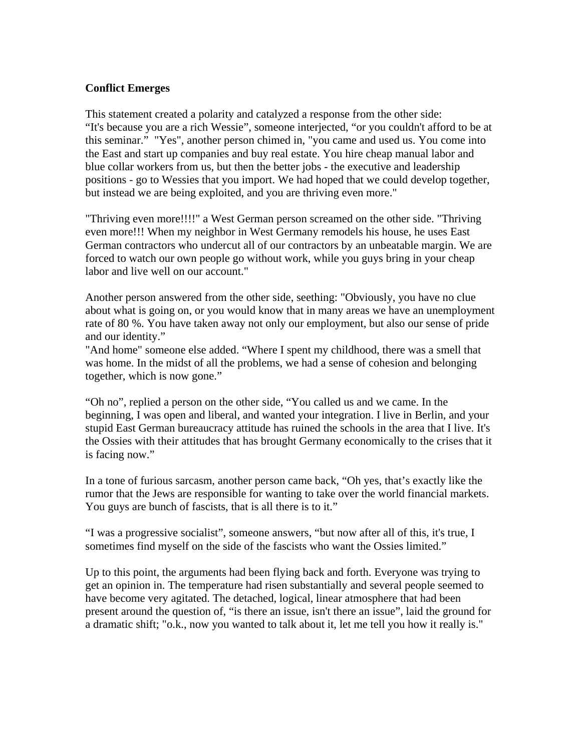### **Conflict Emerges**

This statement created a polarity and catalyzed a response from the other side: "It's because you are a rich Wessie", someone interjected, "or you couldn't afford to be at this seminar." "Yes", another person chimed in, "you came and used us. You come into the East and start up companies and buy real estate. You hire cheap manual labor and blue collar workers from us, but then the better jobs - the executive and leadership positions - go to Wessies that you import. We had hoped that we could develop together, but instead we are being exploited, and you are thriving even more."

"Thriving even more!!!!" a West German person screamed on the other side. "Thriving even more!!! When my neighbor in West Germany remodels his house, he uses East German contractors who undercut all of our contractors by an unbeatable margin. We are forced to watch our own people go without work, while you guys bring in your cheap labor and live well on our account."

Another person answered from the other side, seething: "Obviously, you have no clue about what is going on, or you would know that in many areas we have an unemployment rate of 80 %. You have taken away not only our employment, but also our sense of pride and our identity."

"And home" someone else added. "Where I spent my childhood, there was a smell that was home. In the midst of all the problems, we had a sense of cohesion and belonging together, which is now gone."

"Oh no", replied a person on the other side, "You called us and we came. In the beginning, I was open and liberal, and wanted your integration. I live in Berlin, and your stupid East German bureaucracy attitude has ruined the schools in the area that I live. It's the Ossies with their attitudes that has brought Germany economically to the crises that it is facing now."

In a tone of furious sarcasm, another person came back, "Oh yes, that's exactly like the rumor that the Jews are responsible for wanting to take over the world financial markets. You guys are bunch of fascists, that is all there is to it."

"I was a progressive socialist", someone answers, "but now after all of this, it's true, I sometimes find myself on the side of the fascists who want the Ossies limited."

Up to this point, the arguments had been flying back and forth. Everyone was trying to get an opinion in. The temperature had risen substantially and several people seemed to have become very agitated. The detached, logical, linear atmosphere that had been present around the question of, "is there an issue, isn't there an issue", laid the ground for a dramatic shift; "o.k., now you wanted to talk about it, let me tell you how it really is."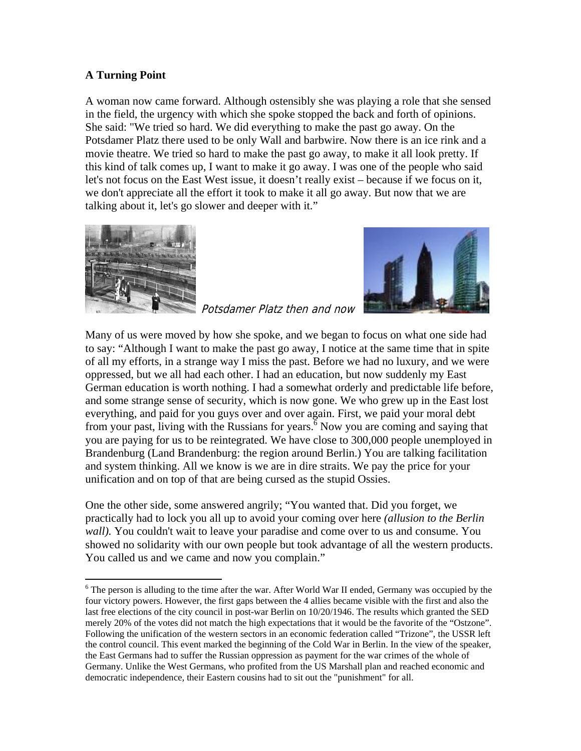# **A Turning Point**

A woman now came forward. Although ostensibly she was playing a role that she sensed in the field, the urgency with which she spoke stopped the back and forth of opinions. She said: "We tried so hard. We did everything to make the past go away. On the Potsdamer Platz there used to be only Wall and barbwire. Now there is an ice rink and a movie theatre. We tried so hard to make the past go away, to make it all look pretty. If this kind of talk comes up, I want to make it go away. I was one of the people who said let's not focus on the East West issue, it doesn't really exist – because if we focus on it, we don't appreciate all the effort it took to make it all go away. But now that we are talking about it, let's go slower and deeper with it."



 $\overline{a}$ 



Potsdamer Platz then and now

Many of us were moved by how she spoke, and we began to focus on what one side had to say: "Although I want to make the past go away, I notice at the same time that in spite of all my efforts, in a strange way I miss the past. Before we had no luxury, and we were oppressed, but we all had each other. I had an education, but now suddenly my East German education is worth nothing. I had a somewhat orderly and predictable life before, and some strange sense of security, which is now gone. We who grew up in the East lost everything, and paid for you guys over and over again. First, we paid your moral debt from your past, living with the Russians for years.  $\frac{6}{6}$  Now you are coming and saying that you are paying for us to be reintegrated. We have close to 300,000 people unemployed in Brandenburg (Land Brandenburg: the region around Berlin.) You are talking facilitation and system thinking. All we know is we are in dire straits. We pay the price for your unification and on top of that are being cursed as the stupid Ossies.

One the other side, some answered angrily; "You wanted that. Did you forget, we practically had to lock you all up to avoid your coming over here *(allusion to the Berlin wall).* You couldn't wait to leave your paradise and come over to us and consume. You showed no solidarity with our own people but took advantage of all the western products. You called us and we came and now you complain."

<sup>&</sup>lt;sup>6</sup> The person is alluding to the time after the war. After World War II ended, Germany was occupied by the four victory powers. However, the first gaps between the 4 allies became visible with the first and also the last free elections of the city council in post-war Berlin on 10/20/1946. The results which granted the SED merely 20% of the votes did not match the high expectations that it would be the favorite of the "Ostzone". Following the unification of the western sectors in an economic federation called "Trizone", the USSR left the control council. This event marked the beginning of the Cold War in Berlin. In the view of the speaker, the East Germans had to suffer the Russian oppression as payment for the war crimes of the whole of Germany. Unlike the West Germans, who profited from the US Marshall plan and reached economic and democratic independence, their Eastern cousins had to sit out the "punishment" for all.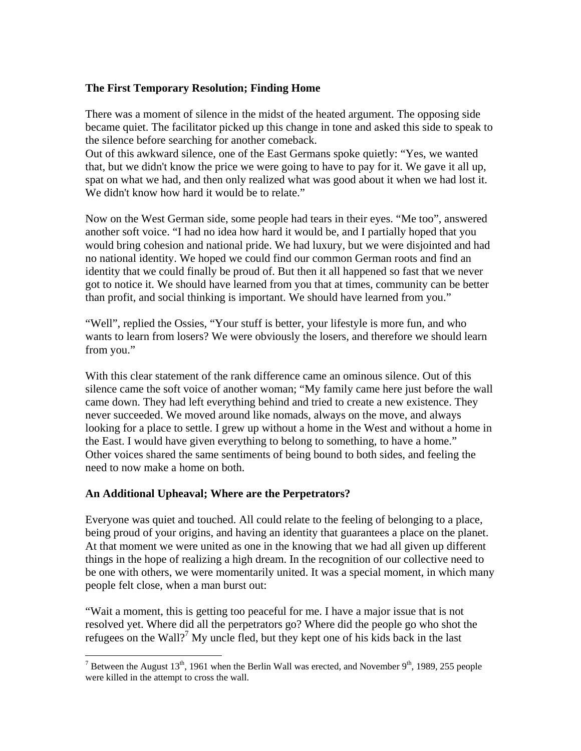### **The First Temporary Resolution; Finding Home**

There was a moment of silence in the midst of the heated argument. The opposing side became quiet. The facilitator picked up this change in tone and asked this side to speak to the silence before searching for another comeback.

Out of this awkward silence, one of the East Germans spoke quietly: "Yes, we wanted that, but we didn't know the price we were going to have to pay for it. We gave it all up, spat on what we had, and then only realized what was good about it when we had lost it. We didn't know how hard it would be to relate."

Now on the West German side, some people had tears in their eyes. "Me too", answered another soft voice. "I had no idea how hard it would be, and I partially hoped that you would bring cohesion and national pride. We had luxury, but we were disjointed and had no national identity. We hoped we could find our common German roots and find an identity that we could finally be proud of. But then it all happened so fast that we never got to notice it. We should have learned from you that at times, community can be better than profit, and social thinking is important. We should have learned from you."

"Well", replied the Ossies, "Your stuff is better, your lifestyle is more fun, and who wants to learn from losers? We were obviously the losers, and therefore we should learn from you."

With this clear statement of the rank difference came an ominous silence. Out of this silence came the soft voice of another woman; "My family came here just before the wall came down. They had left everything behind and tried to create a new existence. They never succeeded. We moved around like nomads, always on the move, and always looking for a place to settle. I grew up without a home in the West and without a home in the East. I would have given everything to belong to something, to have a home." Other voices shared the same sentiments of being bound to both sides, and feeling the need to now make a home on both.

# **An Additional Upheaval; Where are the Perpetrators?**

 $\overline{a}$ 

Everyone was quiet and touched. All could relate to the feeling of belonging to a place, being proud of your origins, and having an identity that guarantees a place on the planet. At that moment we were united as one in the knowing that we had all given up different things in the hope of realizing a high dream. In the recognition of our collective need to be one with others, we were momentarily united. It was a special moment, in which many people felt close, when a man burst out:

"Wait a moment, this is getting too peaceful for me. I have a major issue that is not resolved yet. Where did all the perpetrators go? Where did the people go who shot the refugees on the Wall?<sup>7</sup> My uncle fled, but they kept one of his kids back in the last

<sup>&</sup>lt;sup>7</sup> Between the August 13<sup>th</sup>, 1961 when the Berlin Wall was erected, and November 9<sup>th</sup>, 1989, 255 people were killed in the attempt to cross the wall.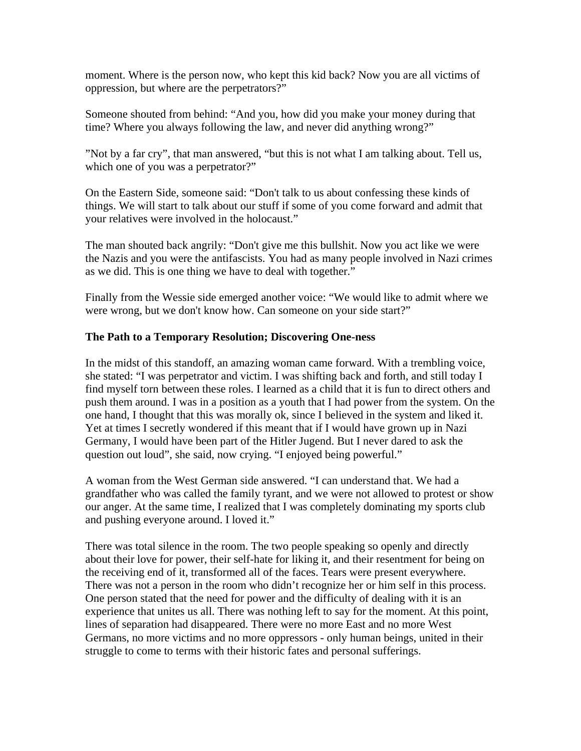moment. Where is the person now, who kept this kid back? Now you are all victims of oppression, but where are the perpetrators?"

Someone shouted from behind: "And you, how did you make your money during that time? Where you always following the law, and never did anything wrong?"

"Not by a far cry", that man answered, "but this is not what I am talking about. Tell us, which one of you was a perpetrator?"

On the Eastern Side, someone said: "Don't talk to us about confessing these kinds of things. We will start to talk about our stuff if some of you come forward and admit that your relatives were involved in the holocaust."

The man shouted back angrily: "Don't give me this bullshit. Now you act like we were the Nazis and you were the antifascists. You had as many people involved in Nazi crimes as we did. This is one thing we have to deal with together."

Finally from the Wessie side emerged another voice: "We would like to admit where we were wrong, but we don't know how. Can someone on your side start?"

### **The Path to a Temporary Resolution; Discovering One-ness**

In the midst of this standoff, an amazing woman came forward. With a trembling voice, she stated: "I was perpetrator and victim. I was shifting back and forth, and still today I find myself torn between these roles. I learned as a child that it is fun to direct others and push them around. I was in a position as a youth that I had power from the system. On the one hand, I thought that this was morally ok, since I believed in the system and liked it. Yet at times I secretly wondered if this meant that if I would have grown up in Nazi Germany, I would have been part of the Hitler Jugend. But I never dared to ask the question out loud", she said, now crying. "I enjoyed being powerful."

A woman from the West German side answered. "I can understand that. We had a grandfather who was called the family tyrant, and we were not allowed to protest or show our anger. At the same time, I realized that I was completely dominating my sports club and pushing everyone around. I loved it."

There was total silence in the room. The two people speaking so openly and directly about their love for power, their self-hate for liking it, and their resentment for being on the receiving end of it, transformed all of the faces. Tears were present everywhere. There was not a person in the room who didn't recognize her or him self in this process. One person stated that the need for power and the difficulty of dealing with it is an experience that unites us all. There was nothing left to say for the moment. At this point, lines of separation had disappeared. There were no more East and no more West Germans, no more victims and no more oppressors - only human beings, united in their struggle to come to terms with their historic fates and personal sufferings.